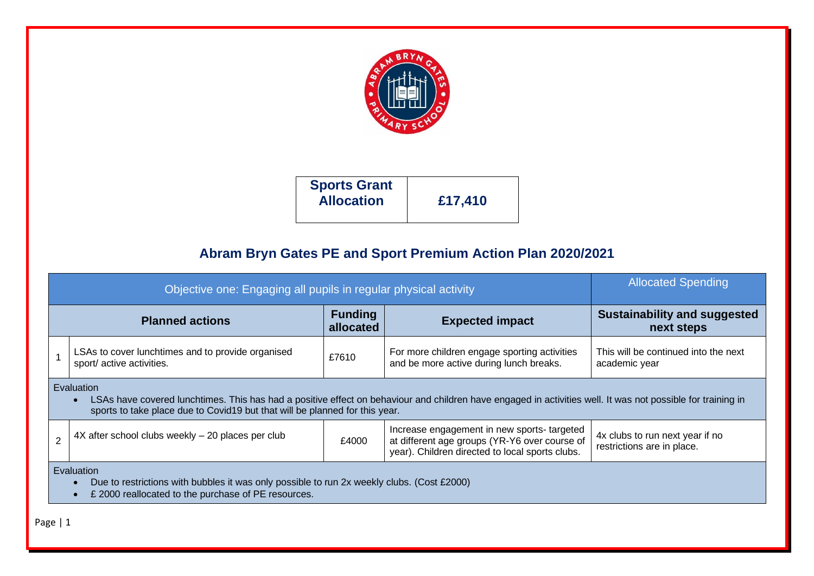

## **Abram Bryn Gates PE and Sport Premium Action Plan 2020/2021**

|                | Objective one: Engaging all pupils in regular physical activity                                                                                                                                                                                                               | <b>Allocated Spending</b>                         |                                                                                         |                                                       |  |  |
|----------------|-------------------------------------------------------------------------------------------------------------------------------------------------------------------------------------------------------------------------------------------------------------------------------|---------------------------------------------------|-----------------------------------------------------------------------------------------|-------------------------------------------------------|--|--|
|                | <b>Planned actions</b>                                                                                                                                                                                                                                                        | <b>Sustainability and suggested</b><br>next steps |                                                                                         |                                                       |  |  |
|                | LSAs to cover lunchtimes and to provide organised<br>sport/ active activities.                                                                                                                                                                                                | £7610                                             | For more children engage sporting activities<br>and be more active during lunch breaks. | This will be continued into the next<br>academic year |  |  |
|                | Evaluation<br>LSAs have covered lunchtimes. This has had a positive effect on behaviour and children have engaged in activities well. It was not possible for training in<br>sports to take place due to Covid19 but that will be planned for this year.                      |                                                   |                                                                                         |                                                       |  |  |
| $\overline{2}$ | Increase engagement in new sports-targeted<br>4X after school clubs weekly - 20 places per club<br>4x clubs to run next year if no<br>at different age groups (YR-Y6 over course of<br>£4000<br>restrictions are in place.<br>year). Children directed to local sports clubs. |                                                   |                                                                                         |                                                       |  |  |
|                | <b>Evaluation</b><br>Due to restrictions with bubbles it was only possible to run 2x weekly clubs. (Cost £2000)<br>£ 2000 reallocated to the purchase of PE resources.                                                                                                        |                                                   |                                                                                         |                                                       |  |  |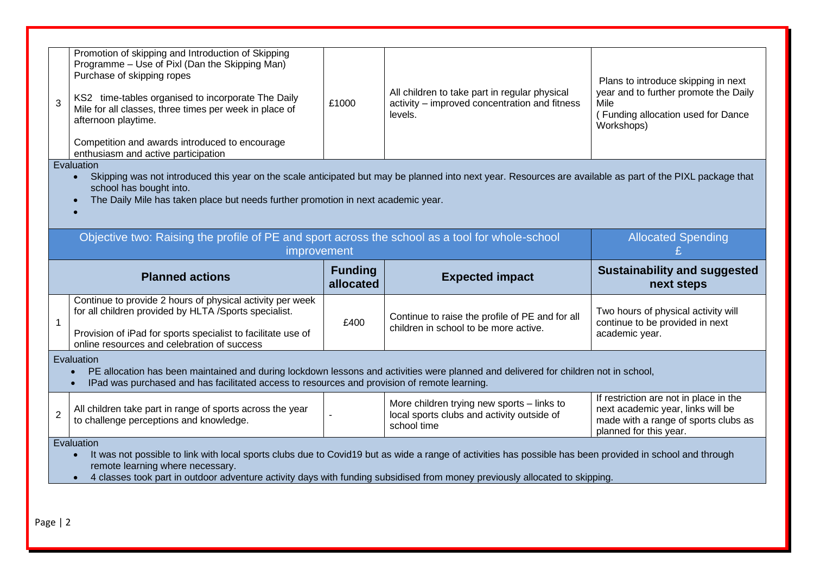| 3                                                                               | Promotion of skipping and Introduction of Skipping<br>Programme - Use of Pixl (Dan the Skipping Man)<br>Purchase of skipping ropes<br>KS2 time-tables organised to incorporate The Daily<br>Mile for all classes, three times per week in place of<br>afternoon playtime.<br>Competition and awards introduced to encourage<br>enthusiasm and active participation<br>Evaluation<br>Skipping was not introduced this year on the scale anticipated but may be planned into next year. Resources are available as part of the PIXL package that<br>$\bullet$<br>school has bought into.<br>The Daily Mile has taken place but needs further promotion in next academic year. | £1000                     | All children to take part in regular physical<br>activity - improved concentration and fitness<br>levels. | Plans to introduce skipping in next<br>year and to further promote the Daily<br>Mile<br>(Funding allocation used for Dance<br>Workshops)      |  |
|---------------------------------------------------------------------------------|-----------------------------------------------------------------------------------------------------------------------------------------------------------------------------------------------------------------------------------------------------------------------------------------------------------------------------------------------------------------------------------------------------------------------------------------------------------------------------------------------------------------------------------------------------------------------------------------------------------------------------------------------------------------------------|---------------------------|-----------------------------------------------------------------------------------------------------------|-----------------------------------------------------------------------------------------------------------------------------------------------|--|
|                                                                                 | Objective two: Raising the profile of PE and sport across the school as a tool for whole-school<br>improvement                                                                                                                                                                                                                                                                                                                                                                                                                                                                                                                                                              | <b>Allocated Spending</b> |                                                                                                           |                                                                                                                                               |  |
| <b>Funding</b><br><b>Planned actions</b><br><b>Expected impact</b><br>allocated |                                                                                                                                                                                                                                                                                                                                                                                                                                                                                                                                                                                                                                                                             |                           |                                                                                                           | <b>Sustainability and suggested</b><br>next steps                                                                                             |  |
| 1                                                                               | Continue to provide 2 hours of physical activity per week<br>for all children provided by HLTA /Sports specialist.<br>Provision of iPad for sports specialist to facilitate use of<br>online resources and celebration of success                                                                                                                                                                                                                                                                                                                                                                                                                                           | £400                      | Continue to raise the profile of PE and for all<br>children in school to be more active.                  | Two hours of physical activity will<br>continue to be provided in next<br>academic year.                                                      |  |
|                                                                                 | Evaluation<br>PE allocation has been maintained and during lockdown lessons and activities were planned and delivered for children not in school,<br>$\bullet$<br>IPad was purchased and has facilitated access to resources and provision of remote learning.<br>$\bullet$                                                                                                                                                                                                                                                                                                                                                                                                 |                           |                                                                                                           |                                                                                                                                               |  |
| 2                                                                               | All children take part in range of sports across the year<br>to challenge perceptions and knowledge.                                                                                                                                                                                                                                                                                                                                                                                                                                                                                                                                                                        |                           | More children trying new sports - links to<br>local sports clubs and activity outside of<br>school time   | If restriction are not in place in the<br>next academic year, links will be<br>made with a range of sports clubs as<br>planned for this year. |  |
|                                                                                 | Evaluation<br>It was not possible to link with local sports clubs due to Covid19 but as wide a range of activities has possible has been provided in school and through<br>remote learning where necessary.<br>4 classes took part in outdoor adventure activity days with funding subsidised from money previously allocated to skipping.                                                                                                                                                                                                                                                                                                                                  |                           |                                                                                                           |                                                                                                                                               |  |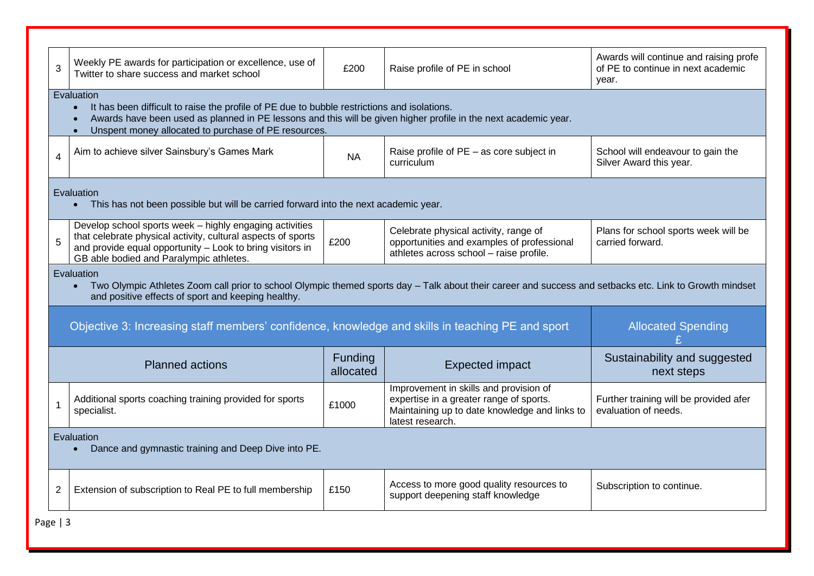| 3              | Weekly PE awards for participation or excellence, use of<br>Twitter to share success and market school                                                                                                         | £200      | Raise profile of PE in school                                                 | Awards will continue and raising profe<br>of PE to continue in next academic<br>year. |  |
|----------------|----------------------------------------------------------------------------------------------------------------------------------------------------------------------------------------------------------------|-----------|-------------------------------------------------------------------------------|---------------------------------------------------------------------------------------|--|
|                | Evaluation                                                                                                                                                                                                     |           |                                                                               |                                                                                       |  |
|                | It has been difficult to raise the profile of PE due to bubble restrictions and isolations.<br>Awards have been used as planned in PE lessons and this will be given higher profile in the next academic year. |           |                                                                               |                                                                                       |  |
|                | Unspent money allocated to purchase of PE resources.<br>$\bullet$                                                                                                                                              |           |                                                                               |                                                                                       |  |
|                |                                                                                                                                                                                                                |           |                                                                               |                                                                                       |  |
| $\overline{4}$ | Aim to achieve silver Sainsbury's Games Mark                                                                                                                                                                   | <b>NA</b> | Raise profile of PE - as core subject in<br>curriculum                        | School will endeavour to gain the<br>Silver Award this year.                          |  |
|                |                                                                                                                                                                                                                |           |                                                                               |                                                                                       |  |
|                |                                                                                                                                                                                                                |           |                                                                               |                                                                                       |  |
|                | Evaluation<br>This has not been possible but will be carried forward into the next academic year.                                                                                                              |           |                                                                               |                                                                                       |  |
|                |                                                                                                                                                                                                                |           |                                                                               |                                                                                       |  |
|                | Develop school sports week - highly engaging activities                                                                                                                                                        |           | Celebrate physical activity, range of                                         | Plans for school sports week will be                                                  |  |
| 5              | that celebrate physical activity, cultural aspects of sports<br>and provide equal opportunity - Look to bring visitors in                                                                                      | £200      | opportunities and examples of professional                                    | carried forward.                                                                      |  |
|                | GB able bodied and Paralympic athletes.                                                                                                                                                                        |           | athletes across school - raise profile.                                       |                                                                                       |  |
|                | Evaluation                                                                                                                                                                                                     |           |                                                                               |                                                                                       |  |
|                | Two Olympic Athletes Zoom call prior to school Olympic themed sports day - Talk about their career and success and setbacks etc. Link to Growth mindset<br>$\bullet$                                           |           |                                                                               |                                                                                       |  |
|                | and positive effects of sport and keeping healthy.                                                                                                                                                             |           |                                                                               |                                                                                       |  |
|                |                                                                                                                                                                                                                |           |                                                                               |                                                                                       |  |
|                | Objective 3: Increasing staff members' confidence, knowledge and skills in teaching PE and sport                                                                                                               |           |                                                                               | <b>Allocated Spending</b>                                                             |  |
|                |                                                                                                                                                                                                                |           |                                                                               |                                                                                       |  |
|                | <b>Planned actions</b>                                                                                                                                                                                         | Funding   | <b>Expected impact</b>                                                        | Sustainability and suggested                                                          |  |
|                |                                                                                                                                                                                                                | allocated |                                                                               | next steps                                                                            |  |
|                |                                                                                                                                                                                                                |           | Improvement in skills and provision of                                        |                                                                                       |  |
| 1              | Additional sports coaching training provided for sports                                                                                                                                                        | £1000     | expertise in a greater range of sports.                                       | Further training will be provided afer                                                |  |
|                | specialist.                                                                                                                                                                                                    |           | Maintaining up to date knowledge and links to<br>latest research.             | evaluation of needs.                                                                  |  |
|                | Evaluation                                                                                                                                                                                                     |           |                                                                               |                                                                                       |  |
|                | Dance and gymnastic training and Deep Dive into PE.                                                                                                                                                            |           |                                                                               |                                                                                       |  |
|                |                                                                                                                                                                                                                |           |                                                                               |                                                                                       |  |
|                |                                                                                                                                                                                                                |           |                                                                               |                                                                                       |  |
| 2              | Extension of subscription to Real PE to full membership                                                                                                                                                        | £150      | Access to more good quality resources to<br>support deepening staff knowledge | Subscription to continue.                                                             |  |
|                |                                                                                                                                                                                                                |           |                                                                               |                                                                                       |  |
|                |                                                                                                                                                                                                                |           |                                                                               |                                                                                       |  |

Page | 3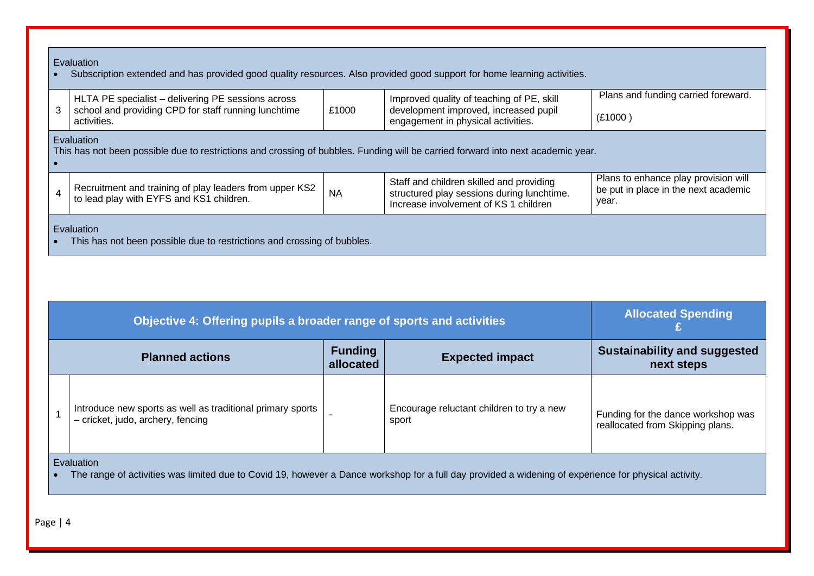## **Evaluation**

• Subscription extended and has provided good quality resources. Also provided good support for home learning activities.

|  | HLTA PE specialist – delivering PE sessions across<br>school and providing CPD for staff running lunchtime<br>activities. | £1000 | Improved quality of teaching of PE, skill<br>development improved, increased pupil<br>engagement in physical activities. | Plans and funding carried foreward.<br>(E1000) |
|--|---------------------------------------------------------------------------------------------------------------------------|-------|--------------------------------------------------------------------------------------------------------------------------|------------------------------------------------|
|--|---------------------------------------------------------------------------------------------------------------------------|-------|--------------------------------------------------------------------------------------------------------------------------|------------------------------------------------|

## **Evaluation**

•

This has not been possible due to restrictions and crossing of bubbles. Funding will be carried forward into next academic year.

|  | Recruitment and training of play leaders from upper KS2<br>to lead play with EYFS and KS1 children. | <b>NA</b> | Staff and children skilled and providing<br>structured play sessions during lunchtime.<br>I Increase involvement of KS 1 children | Plans to enhance play provision will<br>be put in place in the next academic<br>vear. |
|--|-----------------------------------------------------------------------------------------------------|-----------|-----------------------------------------------------------------------------------------------------------------------------------|---------------------------------------------------------------------------------------|
|--|-----------------------------------------------------------------------------------------------------|-----------|-----------------------------------------------------------------------------------------------------------------------------------|---------------------------------------------------------------------------------------|

## Evaluation

• This has not been possible due to restrictions and crossing of bubbles.

|                                                                                 | Objective 4: Offering pupils a broader range of sports and activities                           | <b>Allocated Spending</b> |                                                    |                                                                        |  |  |
|---------------------------------------------------------------------------------|-------------------------------------------------------------------------------------------------|---------------------------|----------------------------------------------------|------------------------------------------------------------------------|--|--|
| <b>Funding</b><br><b>Planned actions</b><br><b>Expected impact</b><br>allocated |                                                                                                 |                           | <b>Sustainability and suggested</b><br>next steps  |                                                                        |  |  |
|                                                                                 | Introduce new sports as well as traditional primary sports<br>- cricket, judo, archery, fencing |                           | Encourage reluctant children to try a new<br>sport | Funding for the dance workshop was<br>reallocated from Skipping plans. |  |  |
|                                                                                 | Evaluation                                                                                      |                           |                                                    |                                                                        |  |  |

• The range of activities was limited due to Covid 19, however a Dance workshop for a full day provided a widening of experience for physical activity.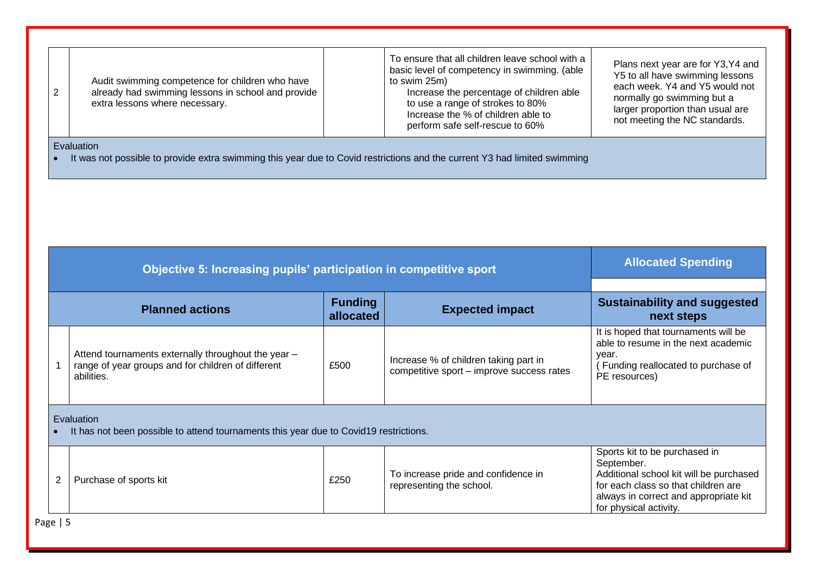| Audit swimming competence for children who have<br>already had swimming lessons in school and provide<br>extra lessons where necessary. | To ensure that all children leave school with a<br>basic level of competency in swimming. (able<br>to swim 25m)<br>Increase the percentage of children able<br>to use a range of strokes to 80%<br>Increase the % of children able to<br>perform safe self-rescue to 60% | Plans next year are for Y3, Y4 and<br>Y5 to all have swimming lessons<br>each week. Y4 and Y5 would not<br>normally go swimming but a<br>larger proportion than usual are<br>not meeting the NC standards. |  |  |  |  |
|-----------------------------------------------------------------------------------------------------------------------------------------|--------------------------------------------------------------------------------------------------------------------------------------------------------------------------------------------------------------------------------------------------------------------------|------------------------------------------------------------------------------------------------------------------------------------------------------------------------------------------------------------|--|--|--|--|
| Evaluation                                                                                                                              |                                                                                                                                                                                                                                                                          |                                                                                                                                                                                                            |  |  |  |  |

• It was not possible to provide extra swimming this year due to Covid restrictions and the current Y3 had limited swimming

|                                                                                                                         | Objective 5: Increasing pupils' participation in competitive sport                                  | <b>Allocated Spending</b>   |                                                                                    |                                                                                                                                                                                                  |  |
|-------------------------------------------------------------------------------------------------------------------------|-----------------------------------------------------------------------------------------------------|-----------------------------|------------------------------------------------------------------------------------|--------------------------------------------------------------------------------------------------------------------------------------------------------------------------------------------------|--|
|                                                                                                                         | <b>Planned actions</b>                                                                              | <b>Funding</b><br>allocated | <b>Expected impact</b>                                                             | <b>Sustainability and suggested</b><br>next steps                                                                                                                                                |  |
| Attend tournaments externally throughout the year -<br>range of year groups and for children of different<br>abilities. |                                                                                                     | £500                        | Increase % of children taking part in<br>competitive sport - improve success rates | It is hoped that tournaments will be<br>able to resume in the next academic<br>year.<br>Funding reallocated to purchase of<br>PE resources)                                                      |  |
|                                                                                                                         | Evaluation<br>It has not been possible to attend tournaments this year due to Covid19 restrictions. |                             |                                                                                    |                                                                                                                                                                                                  |  |
| 2                                                                                                                       | Purchase of sports kit                                                                              | £250                        | To increase pride and confidence in<br>representing the school.                    | Sports kit to be purchased in<br>September.<br>Additional school kit will be purchased<br>for each class so that children are<br>always in correct and appropriate kit<br>for physical activity. |  |